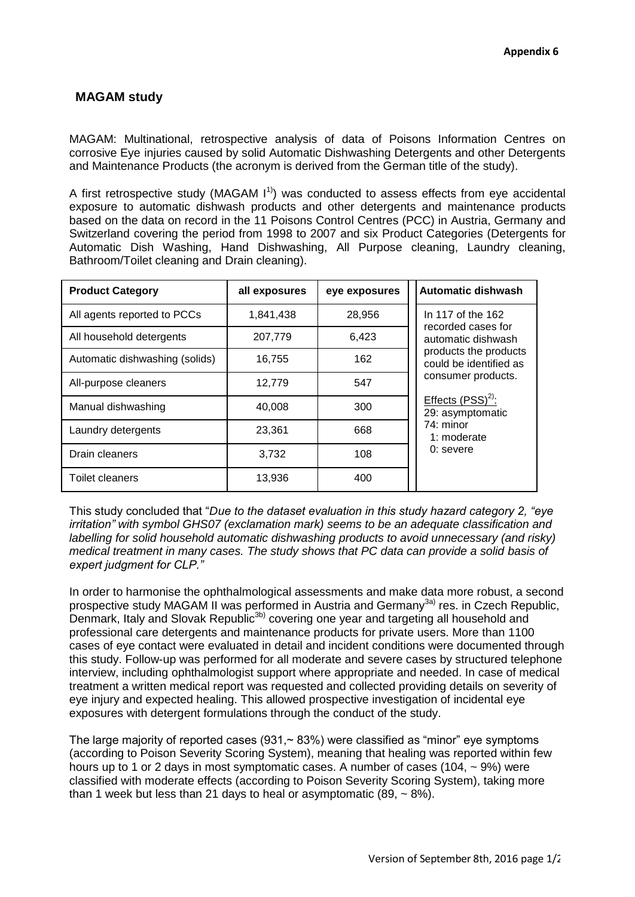## **MAGAM study**

MAGAM: Multinational, retrospective analysis of data of Poisons Information Centres on corrosive Eye injuries caused by solid Automatic Dishwashing Detergents and other Detergents and Maintenance Products (the acronym is derived from the German title of the study).

A first retrospective study (MAGAM  $1<sup>1</sup>$ ) was conducted to assess effects from eye accidental exposure to automatic dishwash products and other detergents and maintenance products based on the data on record in the 11 Poisons Control Centres (PCC) in Austria, Germany and Switzerland covering the period from 1998 to 2007 and six Product Categories (Detergents for Automatic Dish Washing, Hand Dishwashing, All Purpose cleaning, Laundry cleaning, Bathroom/Toilet cleaning and Drain cleaning).

| <b>Product Category</b>        | all exposures | eye exposures | <b>Automatic dishwash</b>                                                                                                                                                                                                      |
|--------------------------------|---------------|---------------|--------------------------------------------------------------------------------------------------------------------------------------------------------------------------------------------------------------------------------|
| All agents reported to PCCs    | 1,841,438     | 28,956        | In 117 of the 162<br>recorded cases for<br>automatic dishwash<br>products the products<br>could be identified as<br>consumer products.<br>Effects $(PSS)^{2}$ :<br>29: asymptomatic<br>74: minor<br>1: moderate<br>$0:$ severe |
| All household detergents       | 207,779       | 6,423         |                                                                                                                                                                                                                                |
| Automatic dishwashing (solids) | 16.755        | 162           |                                                                                                                                                                                                                                |
| All-purpose cleaners           | 12,779        | 547           |                                                                                                                                                                                                                                |
| Manual dishwashing             | 40.008        | 300           |                                                                                                                                                                                                                                |
| Laundry detergents             | 23,361        | 668           |                                                                                                                                                                                                                                |
| Drain cleaners                 | 3.732         | 108           |                                                                                                                                                                                                                                |
| <b>Toilet cleaners</b>         | 13.936        | 400           |                                                                                                                                                                                                                                |

This study concluded that "*Due to the dataset evaluation in this study hazard category 2, "eye irritation" with symbol GHS07 (exclamation mark) seems to be an adequate classification and labelling for solid household automatic dishwashing products to avoid unnecessary (and risky) medical treatment in many cases. The study shows that PC data can provide a solid basis of expert judgment for CLP."*

In order to harmonise the ophthalmological assessments and make data more robust, a second prospective study MAGAM II was performed in Austria and Germany<sup>3a)</sup> res. in Czech Republic, Denmark, Italy and Slovak Republic<sup>3b)</sup> covering one year and targeting all household and professional care detergents and maintenance products for private users. More than 1100 cases of eye contact were evaluated in detail and incident conditions were documented through this study. Follow-up was performed for all moderate and severe cases by structured telephone interview, including ophthalmologist support where appropriate and needed. In case of medical treatment a written medical report was requested and collected providing details on severity of eye injury and expected healing. This allowed prospective investigation of incidental eye exposures with detergent formulations through the conduct of the study.

The large majority of reported cases (931, $\sim$  83%) were classified as "minor" eye symptoms (according to Poison Severity Scoring System), meaning that healing was reported within few hours up to 1 or 2 days in most symptomatic cases. A number of cases (104,  $\sim$  9%) were classified with moderate effects (according to Poison Severity Scoring System), taking more than 1 week but less than 21 days to heal or asymptomatic  $(89, \sim 8\%)$ .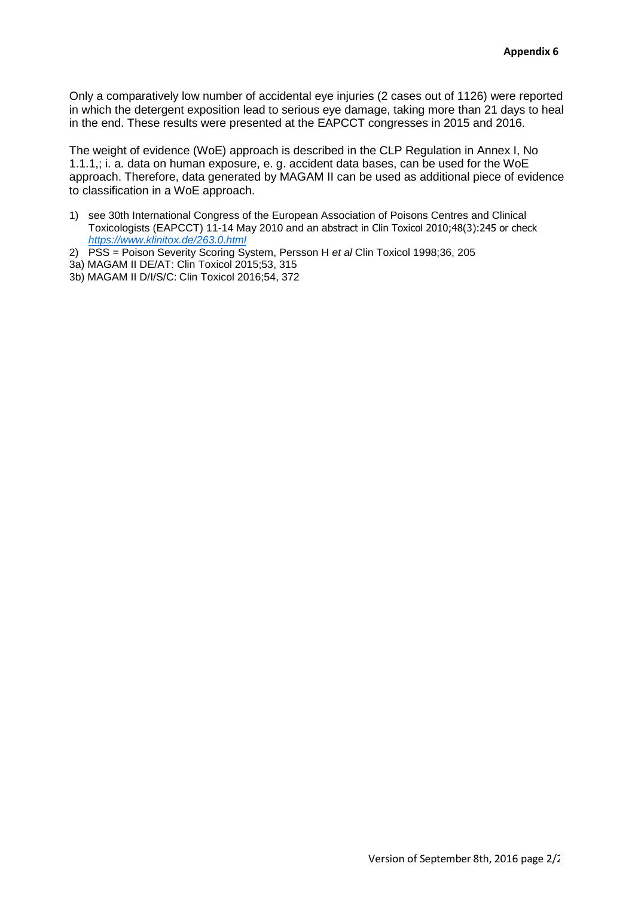Only a comparatively low number of accidental eye injuries (2 cases out of 1126) were reported in which the detergent exposition lead to serious eye damage, taking more than 21 days to heal in the end. These results were presented at the EAPCCT congresses in 2015 and 2016.

The weight of evidence (WoE) approach is described in the CLP Regulation in Annex I, No 1.1.1,; i. a. data on human exposure, e. g. accident data bases, can be used for the WoE approach. Therefore, data generated by MAGAM II can be used as additional piece of evidence to classification in a WoE approach.

- 1) see 30th International Congress of the European Association of Poisons Centres and Clinical Toxicologists (EAPCCT) 11-14 May 2010 and an abstract in Clin Toxicol 2010;48(3):245 or check *<https://www.klinitox.de/263.0.html>*
- 2) PSS = Poison Severity Scoring System, Persson H *et al* Clin Toxicol 1998;36, 205
- 3a) MAGAM II DE/AT: Clin Toxicol 2015;53, 315
- 3b) MAGAM II D/I/S/C: Clin Toxicol 2016;54, 372